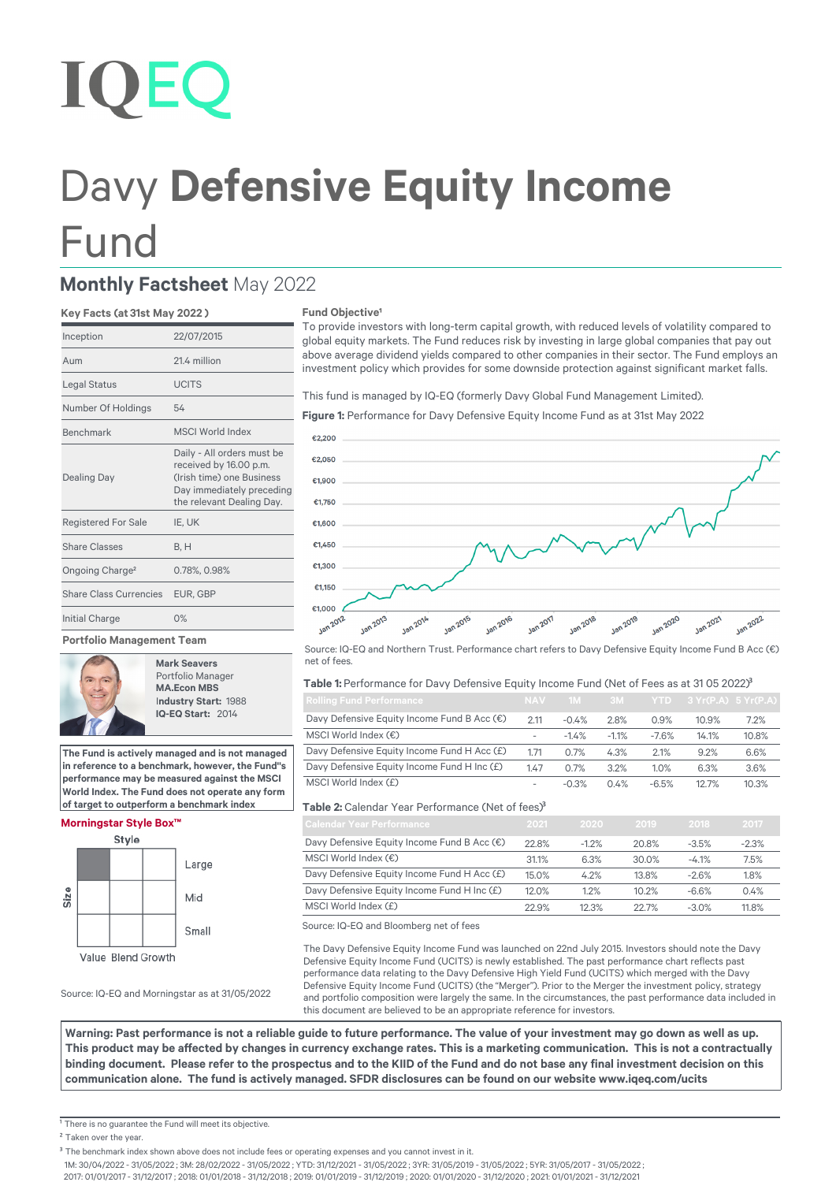# **IOEC**

## Davy **Defensive Equity Income**  Fund

### **Monthly Factsheet** May 2022

#### **Key Facts (at 31st May 2022 )**

| Inception                   | 22/07/2015                                                                                                                                  |
|-----------------------------|---------------------------------------------------------------------------------------------------------------------------------------------|
| Aum                         | 21.4 million                                                                                                                                |
| Legal Status                | <b>UCITS</b>                                                                                                                                |
| Number Of Holdings          | 54                                                                                                                                          |
| <b>Benchmark</b>            | <b>MSCI World Index</b>                                                                                                                     |
| <b>Dealing Day</b>          | Daily - All orders must be<br>received by 16.00 p.m.<br>(Irish time) one Business<br>Day immediately preceding<br>the relevant Dealing Day. |
| <b>Registered For Sale</b>  | IE, UK                                                                                                                                      |
| Share Classes               | B.H                                                                                                                                         |
| Ongoing Charge <sup>2</sup> | 0.78%, 0.98%                                                                                                                                |
| Share Class Currencies      | EUR. GBP                                                                                                                                    |
| Initial Charge              | 0%                                                                                                                                          |

#### **Portfolio Management Team**



**Mark Seavers** Portfolio Manager **MA.Econ MBS** I**ndustry Start:** 1988  **IQ-EQ Start:** 2014

**The Fund is actively managed and is not managed in reference to a benchmark, however, the Fund''s performance may be measured against the MSCI World Index. The Fund does not operate any form of target to outperform a benchmark index**

#### **Morningstar Style Box™**



Source: IQ-EQ and Morningstar as at 31/05/2022

#### **Fund Objective**<sup>1</sup>

To provide investors with long-term capital growth, with reduced levels of volatility compared to global equity markets. The Fund reduces risk by investing in large global companies that pay out above average dividend yields compared to other companies in their sector. The Fund employs an investment policy which provides for some downside protection against significant market falls.

This fund is managed by IQ-EQ (formerly Davy Global Fund Management Limited).

#### **Figure 1:** Performance for Davy Defensive Equity Income Fund as at 31st May 2022



Source: IQ-EQ and Northern Trust. Performance chart refers to Davy Defensive Equity Income Fund B Acc (€) net of fees.

#### Table 1: Performance for Davy Defensive Equity Income Fund (Net of Fees as at 31 05 2022)<sup>3</sup>

| <b>Rolling Fund Performance</b>                      | NAV <sub>1</sub>         | -1M     |         |         | $3M$ $YTD$ $3Yr(P.A)$ $5Yr(P.A)$ |       |
|------------------------------------------------------|--------------------------|---------|---------|---------|----------------------------------|-------|
| Davy Defensive Equity Income Fund B Acc $(\epsilon)$ | 2.11                     | $-0.4%$ | 2.8%    | 0.9%    | 10.9%                            | 7.2%  |
| MSCI World Index $(\epsilon)$                        | $\overline{\phantom{a}}$ | $-1.4%$ | $-1.1%$ | $-7.6%$ | 14.1%                            | 10.8% |
| Davy Defensive Equity Income Fund H Acc (£)          | 1.71                     | 0.7%    | 4.3%    | 2.1%    | 9.2%                             | 6.6%  |
| Davy Defensive Equity Income Fund H Inc (£)          | 1.47                     | 0.7%    | 3.2%    | 1.0%    | 6.3%                             | 3.6%  |
| MSCI World Index (£)                                 | $\overline{\phantom{a}}$ | $-0.3%$ | 0.4%    | $-6.5%$ | 12.7%                            | 10.3% |

#### Table 2: Calendar Year Performance (Net of fees)<sup>3</sup>

| <b>Calendar Year Performance</b>            | 2021  | 2020    | 2019  | 2018    | 2017    |
|---------------------------------------------|-------|---------|-------|---------|---------|
| Davy Defensive Equity Income Fund B Acc (€) | 22.8% | $-1.2%$ | 20.8% | $-3.5%$ | $-2.3%$ |
| MSCI World Index (€)                        | 31.1% | 6.3%    | 30.0% | $-4.1%$ | 7.5%    |
| Davy Defensive Equity Income Fund H Acc (£) | 15.0% | 4.2%    | 13.8% | $-2.6%$ | 1.8%    |
| Davy Defensive Equity Income Fund H Inc (£) | 12.0% | 1.2%    | 10.2% | $-6.6%$ | 0.4%    |
| MSCI World Index (£)                        | 22.9% | 12.3%   | 22.7% | $-3.0%$ | 11.8%   |

Source: IQ-EQ and Bloomberg net of fees

The Davy Defensive Equity Income Fund was launched on 22nd July 2015. Investors should note the Davy Defensive Equity Income Fund (UCITS) is newly established. The past performance chart reflects past performance data relating to the Davy Defensive High Yield Fund (UCITS) which merged with the Davy Defensive Equity Income Fund (UCITS) (the "Merger"). Prior to the Merger the investment policy, strategy and portfolio composition were largely the same. In the circumstances, the past performance data included in this document are believed to be an appropriate reference for investors.

**Warning: Past performance is not a reliable guide to future performance. The value of your investment may go down as well as up.**  This product may be affected by changes in currency exchange rates. This is a marketing communication. This is not a contractually binding document. Please refer to the prospectus and to the KIID of the Fund and do not base any final investment decision on this communication alone. The fund is actively managed. SFDR disclosures can be found on our website www.iqeq.com/ucits

<sup>1</sup> There is no quarantee the Fund will meet its objective.

1M: 30/04/2022 - 31/05/2022 ; 3M: 28/02/2022 - 31/05/2022 ; YTD: 31/12/2021 - 31/05/2022 ; 3YR: 31/05/2019 - 31/05/2022 ; 5YR: 31/05/2017 - 31/05/2022 ;

2017: 01/01/2017 - 31/12/2017 ; 2018: 01/01/2018 - 31/12/2018 ; 2019: 01/01/2019 - 31/12/2019 ; 2020: 01/01/2020 - 31/12/2020 ; 2021: 01/01/2021 - 31/12/2021

<sup>&</sup>lt;sup>2</sup> Taken over the year.

<sup>&</sup>lt;sup>3</sup> The benchmark index shown above does not include fees or operating expenses and you cannot invest in it.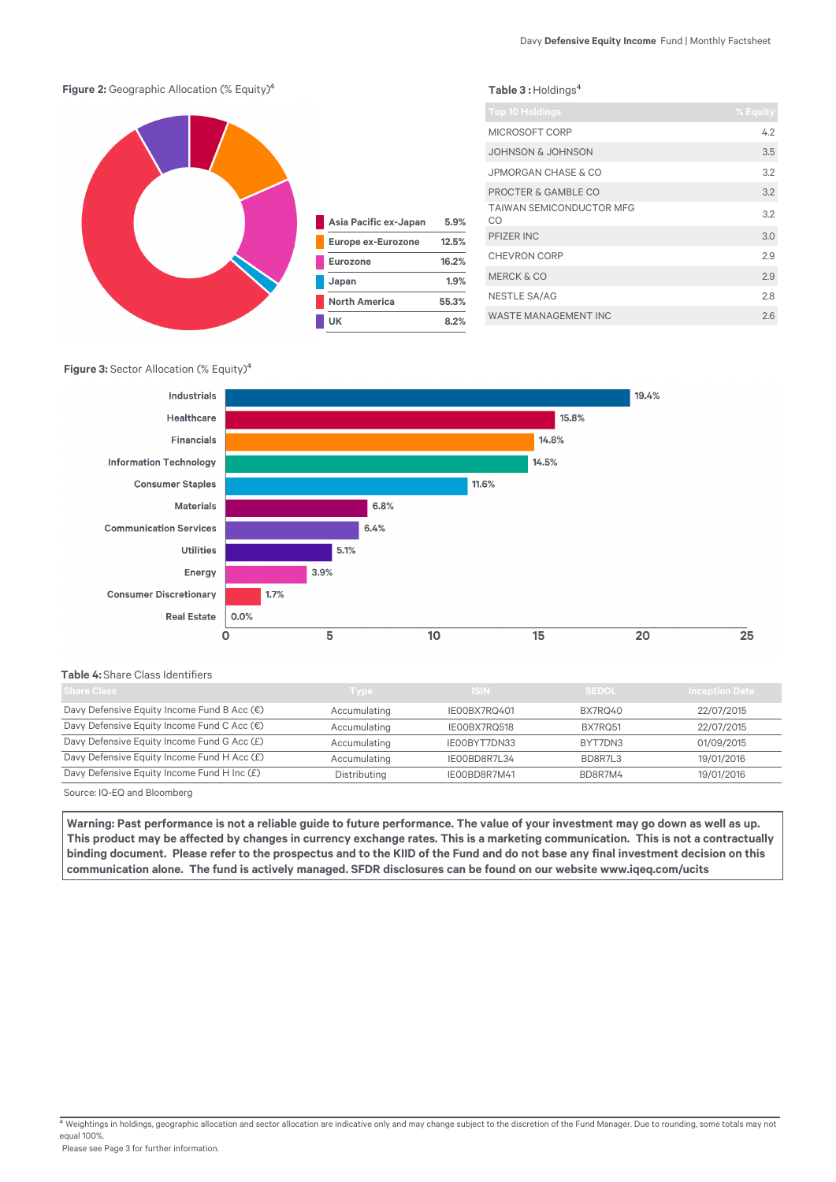Table 3 : Holdings<sup>4</sup>

#### **Figure 2:** Geographic Allocation (% Equity)<sup>4</sup>



| Asia Pacific ex-Japan     | 5.9%  |
|---------------------------|-------|
| <b>Europe ex-Eurozone</b> | 12.5% |
| <b>Eurozone</b>           | 16.2% |
| Japan                     | 1.9%  |
| <b>North America</b>      | 55.3% |
| UK                        | 8.2%  |

| <b>Top 10 Holdings</b>                | % Equity |
|---------------------------------------|----------|
| MICROSOFT CORP                        | 4.2      |
| JOHNSON & JOHNSON                     | 3.5      |
| <b>JPMORGAN CHASE &amp; CO</b>        | 3.2      |
| PROCTER & GAMBLE CO                   | 3.2      |
| <b>TAIWAN SEMICONDUCTOR MFG</b><br>CO | 3.2      |
| PFIZER INC                            | 3.0      |
| <b>CHEVRON CORP</b>                   | 2.9      |
| <b>MERCK &amp; CO</b>                 | 2.9      |
| <b>NESTLE SA/AG</b>                   | 2.8      |
| <b>WASTE MANAGEMENT INC</b>           | 26       |

#### **Figure 3:** Sector Allocation (% Equity)<sup>4</sup>



#### **Table 4:** Share Class Identifiers

| <b>Share Class</b>                          | Type         | /ISIN /      | <b>SEDOL</b> | <b>Inception Date</b> |
|---------------------------------------------|--------------|--------------|--------------|-----------------------|
| Davy Defensive Equity Income Fund B Acc (€) | Accumulating | IE00BX7RQ401 | BX7RQ40      | 22/07/2015            |
| Davy Defensive Equity Income Fund C Acc (€) | Accumulating | IE00BX7RQ518 | BX7RO51      | 22/07/2015            |
| Davy Defensive Equity Income Fund G Acc (£) | Accumulating | IE00BYT7DN33 | BYT7DN3      | 01/09/2015            |
| Davy Defensive Equity Income Fund H Acc (£) | Accumulating | IEOOBD8R7L34 | BD8R7L3      | 19/01/2016            |
| Davy Defensive Equity Income Fund H Inc (£) | Distributing | IEOOBD8R7M41 | BD8R7M4      | 19/01/2016            |
|                                             |              |              |              |                       |

Source: IQ-EQ and Bloomberg

Warning: Past performance is not a reliable quide to future performance. The value of your investment may go down as well as up. This product may be affected by changes in currency exchange rates. This is a marketing communication. This is not a contractually binding document. Please refer to the prospectus and to the KIID of the Fund and do not base any final investment decision on this communication alone. The fund is actively managed. SFDR disclosures can be found on our website www.iqeq.com/ucits

Weightings in holdings, geographic allocation and sector allocation are indicative only and may change subject to the discretion of the Fund Manager. Due to rounding, some totals may not equal 100%.

Please see Page 3 for further information.